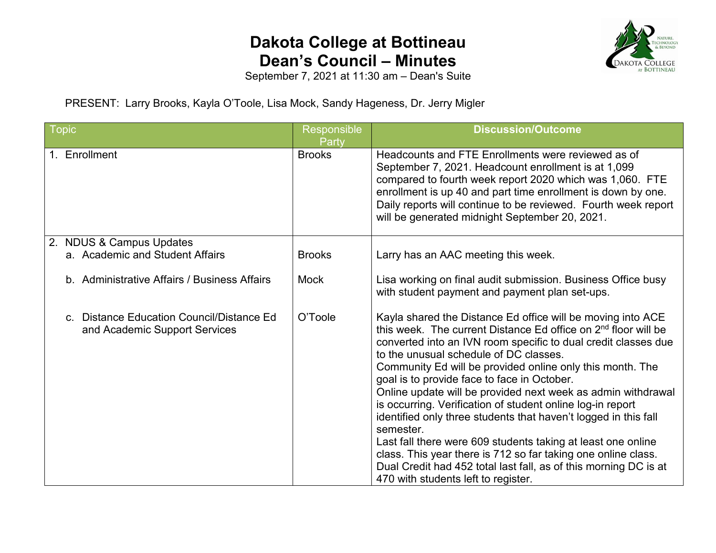

September 7, 2021 at 11:30 am – Dean's Suite

PRESENT: Larry Brooks, Kayla O'Toole, Lisa Mock, Sandy Hageness, Dr. Jerry Migler

| Topic                                                                       | <b>Responsible</b> | <b>Discussion/Outcome</b>                                                                                                                                                                                                                                                                                                                                                                                                                                                                                                                                                                                                                                                                                                                                                                                                   |
|-----------------------------------------------------------------------------|--------------------|-----------------------------------------------------------------------------------------------------------------------------------------------------------------------------------------------------------------------------------------------------------------------------------------------------------------------------------------------------------------------------------------------------------------------------------------------------------------------------------------------------------------------------------------------------------------------------------------------------------------------------------------------------------------------------------------------------------------------------------------------------------------------------------------------------------------------------|
|                                                                             | <u>P</u> arty      |                                                                                                                                                                                                                                                                                                                                                                                                                                                                                                                                                                                                                                                                                                                                                                                                                             |
| 1. Enrollment                                                               | <b>Brooks</b>      | Headcounts and FTE Enrollments were reviewed as of<br>September 7, 2021. Headcount enrollment is at 1,099<br>compared to fourth week report 2020 which was 1,060. FTE<br>enrollment is up 40 and part time enrollment is down by one.<br>Daily reports will continue to be reviewed. Fourth week report<br>will be generated midnight September 20, 2021.                                                                                                                                                                                                                                                                                                                                                                                                                                                                   |
| 2. NDUS & Campus Updates                                                    |                    |                                                                                                                                                                                                                                                                                                                                                                                                                                                                                                                                                                                                                                                                                                                                                                                                                             |
| a. Academic and Student Affairs                                             | <b>Brooks</b>      | Larry has an AAC meeting this week.                                                                                                                                                                                                                                                                                                                                                                                                                                                                                                                                                                                                                                                                                                                                                                                         |
| b. Administrative Affairs / Business Affairs                                | <b>Mock</b>        | Lisa working on final audit submission. Business Office busy<br>with student payment and payment plan set-ups.                                                                                                                                                                                                                                                                                                                                                                                                                                                                                                                                                                                                                                                                                                              |
| c. Distance Education Council/Distance Ed.<br>and Academic Support Services | O'Toole            | Kayla shared the Distance Ed office will be moving into ACE<br>this week. The current Distance Ed office on 2 <sup>nd</sup> floor will be<br>converted into an IVN room specific to dual credit classes due<br>to the unusual schedule of DC classes.<br>Community Ed will be provided online only this month. The<br>goal is to provide face to face in October.<br>Online update will be provided next week as admin withdrawal<br>is occurring. Verification of student online log-in report<br>identified only three students that haven't logged in this fall<br>semester.<br>Last fall there were 609 students taking at least one online<br>class. This year there is 712 so far taking one online class.<br>Dual Credit had 452 total last fall, as of this morning DC is at<br>470 with students left to register. |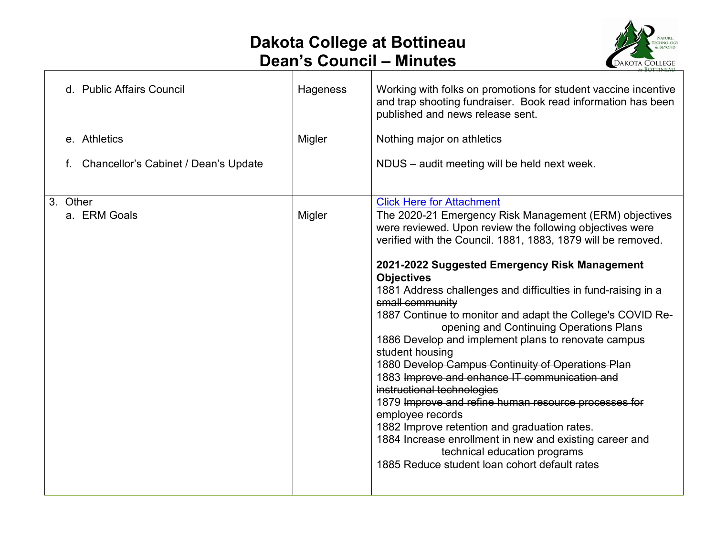$\Gamma$ 



| d. Public Affairs Council            | Hageness | Working with folks on promotions for student vaccine incentive<br>and trap shooting fundraiser. Book read information has been<br>published and news release sent.                                                                                                                                                                                                                                                                                                                                                                                                                                                                                                                                                                                                                                                                                                                                                                                                              |
|--------------------------------------|----------|---------------------------------------------------------------------------------------------------------------------------------------------------------------------------------------------------------------------------------------------------------------------------------------------------------------------------------------------------------------------------------------------------------------------------------------------------------------------------------------------------------------------------------------------------------------------------------------------------------------------------------------------------------------------------------------------------------------------------------------------------------------------------------------------------------------------------------------------------------------------------------------------------------------------------------------------------------------------------------|
| e. Athletics                         | Migler   | Nothing major on athletics                                                                                                                                                                                                                                                                                                                                                                                                                                                                                                                                                                                                                                                                                                                                                                                                                                                                                                                                                      |
| Chancellor's Cabinet / Dean's Update |          | NDUS - audit meeting will be held next week.                                                                                                                                                                                                                                                                                                                                                                                                                                                                                                                                                                                                                                                                                                                                                                                                                                                                                                                                    |
| 3. Other<br>a. ERM Goals             | Migler   | <b>Click Here for Attachment</b><br>The 2020-21 Emergency Risk Management (ERM) objectives<br>were reviewed. Upon review the following objectives were<br>verified with the Council. 1881, 1883, 1879 will be removed.<br>2021-2022 Suggested Emergency Risk Management<br><b>Objectives</b><br>1881 Address challenges and difficulties in fund-raising in a<br>small community<br>1887 Continue to monitor and adapt the College's COVID Re-<br>opening and Continuing Operations Plans<br>1886 Develop and implement plans to renovate campus<br>student housing<br>1880 Develop Campus Continuity of Operations Plan<br>1883 Improve and enhance IT communication and<br>instructional technologies<br>1879 Improve and refine human resource processes for<br>employee records<br>1882 Improve retention and graduation rates.<br>1884 Increase enrollment in new and existing career and<br>technical education programs<br>1885 Reduce student loan cohort default rates |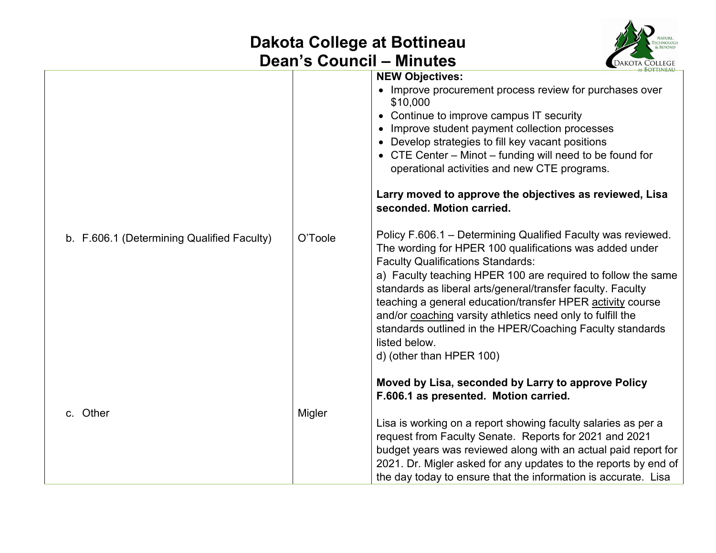

|                                            |         | AT BOTTINEAU                                                                                                                                                                                                                                                                                                                                                                                                                                                                                                                                                                                                                            |
|--------------------------------------------|---------|-----------------------------------------------------------------------------------------------------------------------------------------------------------------------------------------------------------------------------------------------------------------------------------------------------------------------------------------------------------------------------------------------------------------------------------------------------------------------------------------------------------------------------------------------------------------------------------------------------------------------------------------|
|                                            |         | <b>NEW Objectives:</b><br>• Improve procurement process review for purchases over<br>\$10,000<br>• Continue to improve campus IT security<br>• Improve student payment collection processes<br>• Develop strategies to fill key vacant positions                                                                                                                                                                                                                                                                                                                                                                                        |
|                                            |         | • CTE Center - Minot - funding will need to be found for<br>operational activities and new CTE programs.                                                                                                                                                                                                                                                                                                                                                                                                                                                                                                                                |
|                                            |         | Larry moved to approve the objectives as reviewed, Lisa<br>seconded. Motion carried.                                                                                                                                                                                                                                                                                                                                                                                                                                                                                                                                                    |
| b. F.606.1 (Determining Qualified Faculty) | O'Toole | Policy F.606.1 - Determining Qualified Faculty was reviewed.<br>The wording for HPER 100 qualifications was added under<br><b>Faculty Qualifications Standards:</b><br>a) Faculty teaching HPER 100 are required to follow the same<br>standards as liberal arts/general/transfer faculty. Faculty<br>teaching a general education/transfer HPER activity course<br>and/or coaching varsity athletics need only to fulfill the<br>standards outlined in the HPER/Coaching Faculty standards<br>listed below.<br>d) (other than HPER 100)<br>Moved by Lisa, seconded by Larry to approve Policy<br>F.606.1 as presented. Motion carried. |
| c. Other                                   | Migler  | Lisa is working on a report showing faculty salaries as per a                                                                                                                                                                                                                                                                                                                                                                                                                                                                                                                                                                           |
|                                            |         | request from Faculty Senate. Reports for 2021 and 2021                                                                                                                                                                                                                                                                                                                                                                                                                                                                                                                                                                                  |
|                                            |         | budget years was reviewed along with an actual paid report for                                                                                                                                                                                                                                                                                                                                                                                                                                                                                                                                                                          |
|                                            |         | 2021. Dr. Migler asked for any updates to the reports by end of                                                                                                                                                                                                                                                                                                                                                                                                                                                                                                                                                                         |
|                                            |         | the day today to ensure that the information is accurate. Lisa                                                                                                                                                                                                                                                                                                                                                                                                                                                                                                                                                                          |